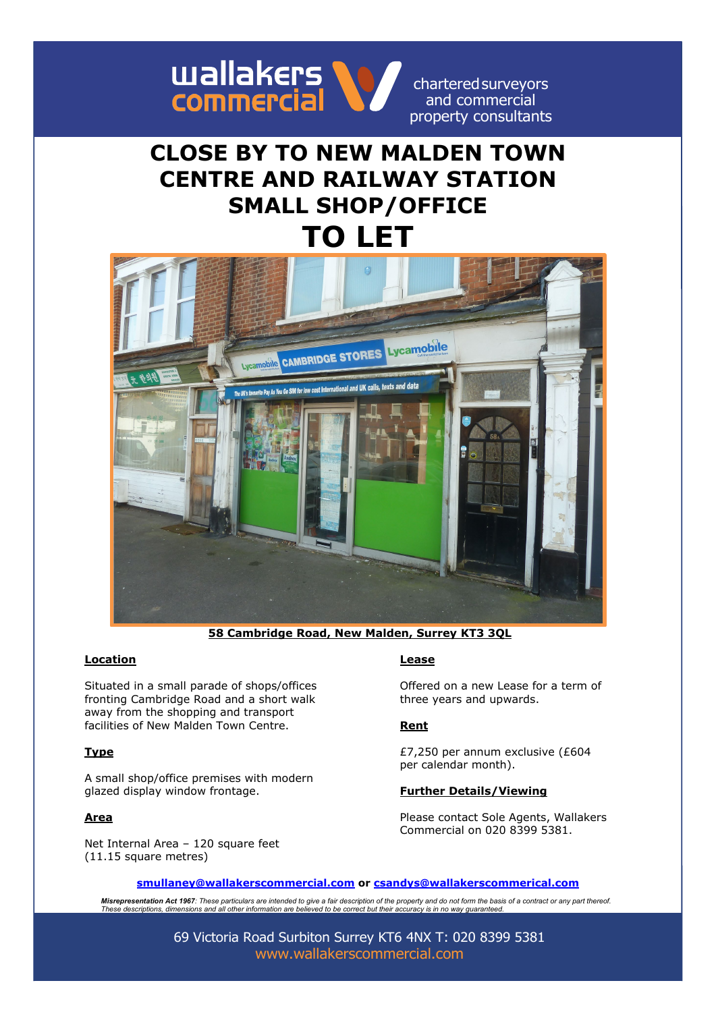

charteredsurveyors and commercial property consultants

# **CLOSE BY TO NEW MALDEN TOWN CENTRE AND RAILWAY STATION SMALL SHOP/OFFICE TO LET**



**58 Cambridge Road, New Malden, Surrey KT3 3QL**

### **Location Lease**

Situated in a small parade of shops/offices fronting Cambridge Road and a short walk away from the shopping and transport facilities of New Malden Town Centre.

### **Type**

A small shop/office premises with modern glazed display window frontage.

### **Area**

Net Internal Area – 120 square feet (11.15 square metres)

Offered on a new Lease for a term of three years and upwards.

### **Rent**

£7,250 per annum exclusive (£604 per calendar month).

### **Further Details/Viewing**

Please contact Sole Agents, Wallakers Commercial on 020 8399 5381.

**[smullaney@wallakerscommercial.com](mailto:smullaney@wallakerscommercial.com) or [csandys@wallakerscommerical.com](mailto:csandys@wallakerscommerical.com)**

*Misrepresentation Act 1967: These particulars are intended to give a fair description of the property and do not form the basis of a contract or any part thereof. These descriptions, dimensions and all other information are believed to be correct but their accuracy is in no way guaranteed.*

> 69 Victoria Road Surbiton Surrey KT6 4NX T: 020 8399 5381 [www.wallakerscommercial.com](http://www.wallakerscommercial.com/)